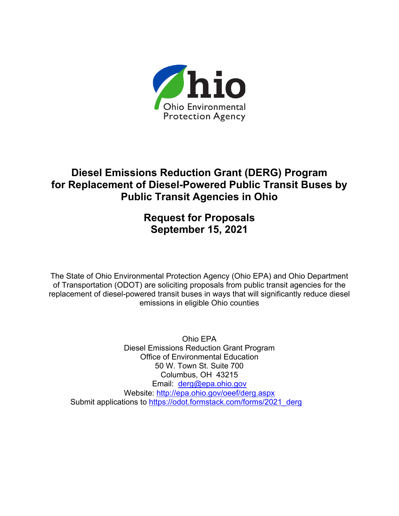

# **Diesel Emissions Reduction Grant (DERG) Program for Replacement of Diesel-Powered Public Transit Buses by Public Transit Agencies in Ohio**

# **Request for Proposals September 15, 2021**

The State of Ohio Environmental Protection Agency (Ohio EPA) and Ohio Department of Transportation (ODOT) are soliciting proposals from public transit agencies for the replacement of diesel-powered transit buses in ways that will significantly reduce diesel emissions in eligible Ohio counties

Ohio EPA Diesel Emissions Reduction Grant Program Office of Environmental Education 50 W. Town St. Suite 700 Columbus, OH 43215 Email: [derg@epa.ohio.gov](mailto:derg@epa.ohio.gov) Website: <http://epa.ohio.gov/oeef/derg.aspx> Submit applications to [https://odot.formstack.com/forms/2021\\_derg](https://odot.formstack.com/forms/2021_derg)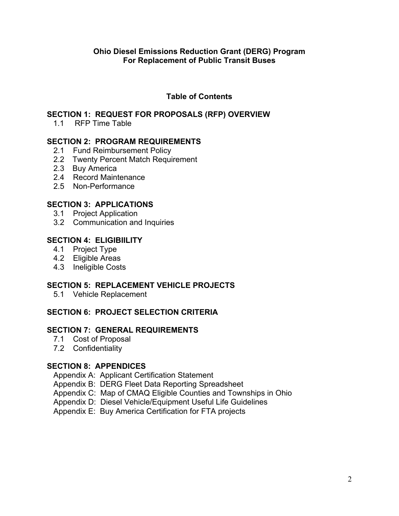# **Table of Contents**

## **SECTION 1: REQUEST FOR PROPOSALS (RFP) OVERVIEW**

1.1 RFP Time Table

## **SECTION 2: PROGRAM REQUIREMENTS**

- 2.1 Fund Reimbursement Policy
- 2.2 Twenty Percent Match Requirement
- 2.3 Buy America
- 2.4 Record Maintenance
- 2.5 Non-Performance

## **SECTION 3: APPLICATIONS**

- 3.1 Project Application
- 3.2 Communication and Inquiries

# **SECTION 4: ELIGIBIILITY**

- 4.1 Project Type
- 4.2 Eligible Areas
- 4.3 Ineligible Costs

# **SECTION 5: REPLACEMENT VEHICLE PROJECTS**

5.1 Vehicle Replacement

# **SECTION 6: PROJECT SELECTION CRITERIA**

#### **SECTION 7: GENERAL REQUIREMENTS**

- 7.1 Cost of Proposal
- 7.2 Confidentiality

# **SECTION 8: APPENDICES**

Appendix A: Applicant Certification Statement

- Appendix B: DERG Fleet Data Reporting Spreadsheet
- Appendix C: Map of CMAQ Eligible Counties and Townships in Ohio
- Appendix D: Diesel Vehicle/Equipment Useful Life Guidelines
- Appendix E: Buy America Certification for FTA projects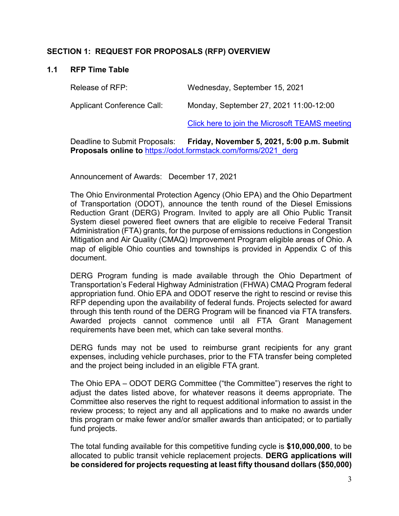## **SECTION 1: REQUEST FOR PROPOSALS (RFP) OVERVIEW**

#### **1.1 RFP Time Table**

| Release of RFP:            | Wednesday, September 15, 2021          |
|----------------------------|----------------------------------------|
| Applicant Conference Call: | Monday, September 27, 2021 11:00-12:00 |

[Click here to join the Microsoft TEAMS meeting](https://teams.microsoft.com/l/meetup-join/19%3ameeting_M2JiMGI4MmItMWY3Zi00OWY2LTkyNWYtZWIyM2Y1ZTYzMmFh%40thread.v2/0?context=%7b%22Tid%22%3a%2250f8fcc4-94d8-4f07-84eb-36ed57c7c8a2%22%2c%22Oid%22%3a%2253fa6946-4687-404d-ab4b-fea62a3bfa5a%22%7d)

Deadline to Submit Proposals: **Friday, November 5, 2021, 5:00 p.m. Submit Proposals online to** [https://odot.formstack.com/forms/2021\\_derg](https://odot.formstack.com/forms/2021_derg)

Announcement of Awards: December 17, 2021

The Ohio Environmental Protection Agency (Ohio EPA) and the Ohio Department of Transportation (ODOT), announce the tenth round of the Diesel Emissions Reduction Grant (DERG) Program. Invited to apply are all Ohio Public Transit System diesel powered fleet owners that are eligible to receive Federal Transit Administration (FTA) grants, for the purpose of emissions reductions in Congestion Mitigation and Air Quality (CMAQ) Improvement Program eligible areas of Ohio. A map of eligible Ohio counties and townships is provided in Appendix C of this document.

DERG Program funding is made available through the Ohio Department of Transportation's Federal Highway Administration (FHWA) CMAQ Program federal appropriation fund. Ohio EPA and ODOT reserve the right to rescind or revise this RFP depending upon the availability of federal funds. Projects selected for award through this tenth round of the DERG Program will be financed via FTA transfers. Awarded projects cannot commence until all FTA Grant Management requirements have been met, which can take several months.

DERG funds may not be used to reimburse grant recipients for any grant expenses, including vehicle purchases, prior to the FTA transfer being completed and the project being included in an eligible FTA grant.

The Ohio EPA – ODOT DERG Committee ("the Committee") reserves the right to adjust the dates listed above, for whatever reasons it deems appropriate. The Committee also reserves the right to request additional information to assist in the review process; to reject any and all applications and to make no awards under this program or make fewer and/or smaller awards than anticipated; or to partially fund projects.

The total funding available for this competitive funding cycle is **\$10,000,000**, to be allocated to public transit vehicle replacement projects. **DERG applications will be considered for projects requesting at least fifty thousand dollars (\$50,000)**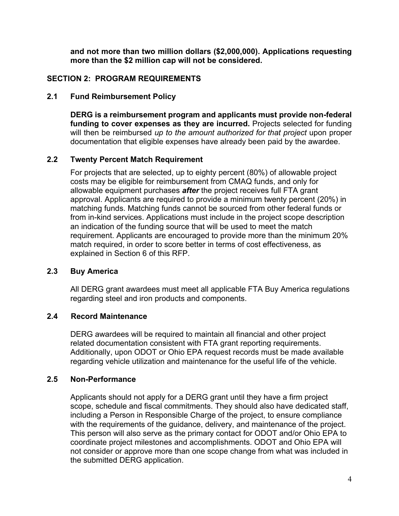**and not more than two million dollars (\$2,000,000). Applications requesting more than the \$2 million cap will not be considered.**

#### **SECTION 2: PROGRAM REQUIREMENTS**

#### **2.1 Fund Reimbursement Policy**

**DERG is a reimbursement program and applicants must provide non-federal funding to cover expenses as they are incurred.** Projects selected for funding will then be reimbursed *up to the amount authorized for that project* upon proper documentation that eligible expenses have already been paid by the awardee.

## **2.2 Twenty Percent Match Requirement**

For projects that are selected, up to eighty percent (80%) of allowable project costs may be eligible for reimbursement from CMAQ funds, and only for allowable equipment purchases *after* the project receives full FTA grant approval. Applicants are required to provide a minimum twenty percent (20%) in matching funds. Matching funds cannot be sourced from other federal funds or from in-kind services. Applications must include in the project scope description an indication of the funding source that will be used to meet the match requirement. Applicants are encouraged to provide more than the minimum 20% match required, in order to score better in terms of cost effectiveness, as explained in Section 6 of this RFP.

# **2.3 Buy America**

All DERG grant awardees must meet all applicable FTA Buy America regulations regarding steel and iron products and components.

## **2.4 Record Maintenance**

DERG awardees will be required to maintain all financial and other project related documentation consistent with FTA grant reporting requirements. Additionally, upon ODOT or Ohio EPA request records must be made available regarding vehicle utilization and maintenance for the useful life of the vehicle.

#### **2.5 Non-Performance**

Applicants should not apply for a DERG grant until they have a firm project scope, schedule and fiscal commitments. They should also have dedicated staff, including a Person in Responsible Charge of the project, to ensure compliance with the requirements of the guidance, delivery, and maintenance of the project. This person will also serve as the primary contact for ODOT and/or Ohio EPA to coordinate project milestones and accomplishments. ODOT and Ohio EPA will not consider or approve more than one scope change from what was included in the submitted DERG application.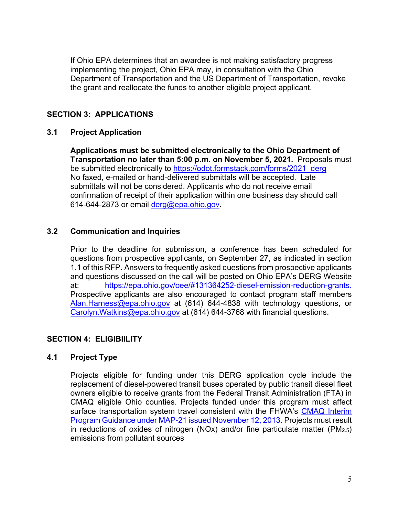If Ohio EPA determines that an awardee is not making satisfactory progress implementing the project, Ohio EPA may, in consultation with the Ohio Department of Transportation and the US Department of Transportation, revoke the grant and reallocate the funds to another eligible project applicant.

# **SECTION 3: APPLICATIONS**

# **3.1 Project Application**

**Applications must be submitted electronically to the Ohio Department of Transportation no later than 5:00 p.m. on November 5, 2021.** Proposals must be submitted electronically to [https://odot.formstack.com/forms/2021\\_derg](https://odot.formstack.com/forms/2021_derg) No faxed, e-mailed or hand-delivered submittals will be accepted. Late submittals will not be considered. Applicants who do not receive email confirmation of receipt of their application within one business day should call 614-644-2873 or email [derg@epa.ohio.gov.](mailto:derg@epa.ohio.gov)

# **3.2 Communication and Inquiries**

Prior to the deadline for submission, a conference has been scheduled for questions from prospective applicants, on September 27, as indicated in section 1.1 of this RFP. Answers to frequently asked questions from prospective applicants and questions discussed on the call will be posted on Ohio EPA's DERG Website at: [https://epa.ohio.gov/oee/#131364252-diesel-emission-reduction-grants.](https://epa.ohio.gov/oee/#131364252-diesel-emission-reduction-grants) Prospective applicants are also encouraged to contact program staff members [Alan.Harness@epa.ohio.gov](mailto:Alan.Harness@epa.ohio.gov) at (614) 644-4838 with technology questions, or [Carolyn.Watkins@epa.ohio.gov](mailto:Carolyn.Watkins@epa.ohio.gov) at (614) 644-3768 with financial questions.

# **SECTION 4: ELIGIBIILITY**

# **4.1 Project Type**

Projects eligible for funding under this DERG application cycle include the replacement of diesel-powered transit buses operated by public transit diesel fleet owners eligible to receive grants from the Federal Transit Administration (FTA) in CMAQ eligible Ohio counties. Projects funded under this program must affect surface transportation system travel consistent with the FHWA's CMAQ Interim [Program Guidance under MAP-21 issued November 12, 2013.](https://www.fhwa.dot.gov/environment/air_quality/cmaq/policy_and_guidance/2013_guidance/index.cfm) Projects must result in reductions of oxides of nitrogen (NOx) and/or fine particulate matter (PM2.5) emissions from pollutant sources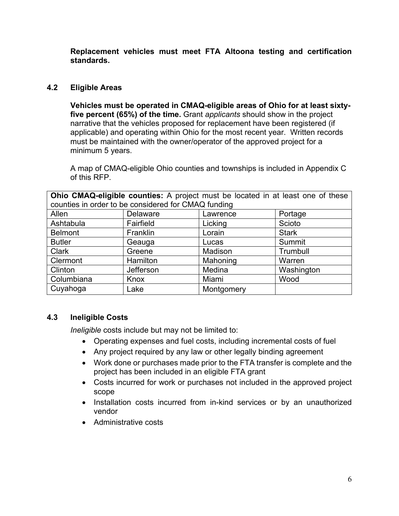**Replacement vehicles must meet FTA Altoona testing and certification standards.** 

# **4.2 Eligible Areas**

**Vehicles must be operated in CMAQ-eligible areas of Ohio for at least sixtyfive percent (65%) of the time.** Grant *applicants* should show in the project narrative that the vehicles proposed for replacement have been registered (if applicable) and operating within Ohio for the most recent year. Written records must be maintained with the owner/operator of the approved project for a minimum 5 years.

A map of CMAQ-eligible Ohio counties and townships is included in Appendix C of this RFP.

**Ohio CMAQ-eligible counties:** A project must be located in at least one of these counties in order to be considered for CMAQ funding

| counties in order to be considered for CiviAQ funding |                 |            |              |  |  |
|-------------------------------------------------------|-----------------|------------|--------------|--|--|
| Allen                                                 | <b>Delaware</b> | Lawrence   | Portage      |  |  |
| Ashtabula                                             | Fairfield       | Licking    | Scioto       |  |  |
| <b>Belmont</b>                                        | Franklin        | Lorain     | <b>Stark</b> |  |  |
| <b>Butler</b>                                         | Geauga          | Lucas      | Summit       |  |  |
| <b>Clark</b>                                          | Greene          | Madison    | Trumbull     |  |  |
| Clermont                                              | Hamilton        | Mahoning   | Warren       |  |  |
| Clinton                                               | Jefferson       | Medina     | Washington   |  |  |
| Columbiana                                            | Knox            | Miami      | Wood         |  |  |
| Cuyahoga                                              | Lake            | Montgomery |              |  |  |

# **4.3 Ineligible Costs**

*Ineligible* costs include but may not be limited to:

- Operating expenses and fuel costs, including incremental costs of fuel
- Any project required by any law or other legally binding agreement
- Work done or purchases made prior to the FTA transfer is complete and the project has been included in an eligible FTA grant
- Costs incurred for work or purchases not included in the approved project scope
- Installation costs incurred from in-kind services or by an unauthorized vendor
- Administrative costs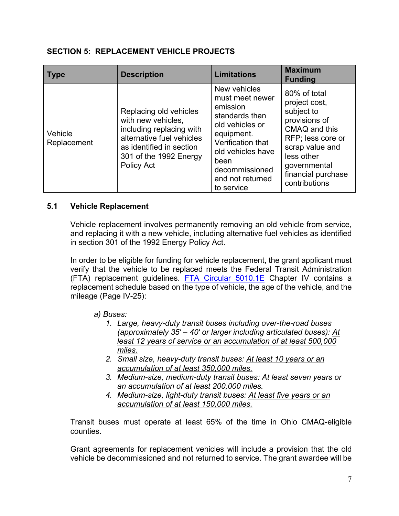#### **SECTION 5: REPLACEMENT VEHICLE PROJECTS**

| <b>Type</b>            | <b>Description</b>                                                                                                                                                        | <b>Limitations</b>                                                                                                                                                                                   | <b>Maximum</b><br><b>Funding</b>                                                                                                                                                           |
|------------------------|---------------------------------------------------------------------------------------------------------------------------------------------------------------------------|------------------------------------------------------------------------------------------------------------------------------------------------------------------------------------------------------|--------------------------------------------------------------------------------------------------------------------------------------------------------------------------------------------|
| Vehicle<br>Replacement | Replacing old vehicles<br>with new vehicles.<br>including replacing with<br>alternative fuel vehicles<br>as identified in section<br>301 of the 1992 Energy<br>Policy Act | New vehicles<br>must meet newer<br>emission<br>standards than<br>old vehicles or<br>equipment.<br>Verification that<br>old vehicles have<br>been<br>decommissioned<br>and not returned<br>to service | 80% of total<br>project cost,<br>subject to<br>provisions of<br>CMAQ and this<br>RFP; less core or<br>scrap value and<br>less other<br>governmental<br>financial purchase<br>contributions |

## **5.1 Vehicle Replacement**

Vehicle replacement involves permanently removing an old vehicle from service, and replacing it with a new vehicle, including alternative fuel vehicles as identified in section 301 of the 1992 Energy Policy Act.

In order to be eligible for funding for vehicle replacement, the grant applicant must verify that the vehicle to be replaced meets the Federal Transit Administration (FTA) replacement guidelines. [FTA Circular 5010.1E](https://gcc02.safelinks.protection.outlook.com/?url=https%3A%2F%2Fwww.transit.dot.gov%2Fsites%2Ffta.dot.gov%2Ffiles%2Fdocs%2Fregulations-and-guidance%2Ffta-circulars%2F58051%2F5010-1e-circular-award-management-requirements-7-16-18.pdf&data=04%7C01%7CCarolyn.Watkins%40epa.ohio.gov%7C0c692f8f2dd140cf35ef08d973b13216%7C50f8fcc494d84f0784eb36ed57c7c8a2%7C0%7C0%7C637668027147706890%7CUnknown%7CTWFpbGZsb3d8eyJWIjoiMC4wLjAwMDAiLCJQIjoiV2luMzIiLCJBTiI6Ik1haWwiLCJXVCI6Mn0%3D%7C1000&sdata=MskZSzO28odcSoiMQAZIWaNINx9XyyGfSztLeQn6iWo%3D&reserved=0) Chapter IV contains a replacement schedule based on the type of vehicle, the age of the vehicle, and the mileage (Page IV-25):

#### *a) Buses:*

- *1. Large, heavy-duty transit buses including over-the-road buses (approximately 35' – 40' or larger including articulated buses): At least 12 years of service or an accumulation of at least 500,000 miles.*
- *2. Small size, heavy-duty transit buses: At least 10 years or an accumulation of at least 350,000 miles.*
- *3. Medium-size, medium-duty transit buses: At least seven years or an accumulation of at least 200,000 miles.*
- *4. Medium-size, light-duty transit buses: At least five years or an accumulation of at least 150,000 miles.*

Transit buses must operate at least 65% of the time in Ohio CMAQ-eligible counties.

Grant agreements for replacement vehicles will include a provision that the old vehicle be decommissioned and not returned to service. The grant awardee will be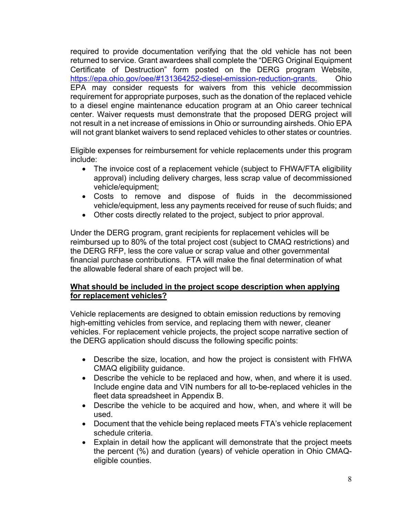required to provide documentation verifying that the old vehicle has not been returned to service. Grant awardees shall complete the "DERG Original Equipment Certificate of Destruction" form posted on the DERG program Website, [https://epa.ohio.gov/oee/#131364252-diesel-emission-reduction-grants.](https://epa.ohio.gov/oee/#131364252-diesel-emission-reduction-grants) Ohio EPA may consider requests for waivers from this vehicle decommission requirement for appropriate purposes, such as the donation of the replaced vehicle to a diesel engine maintenance education program at an Ohio career technical center. Waiver requests must demonstrate that the proposed DERG project will not result in a net increase of emissions in Ohio or surrounding airsheds. Ohio EPA will not grant blanket waivers to send replaced vehicles to other states or countries.

Eligible expenses for reimbursement for vehicle replacements under this program include:

- The invoice cost of a replacement vehicle (subject to FHWA/FTA eligibility approval) including delivery charges, less scrap value of decommissioned vehicle/equipment;
- Costs to remove and dispose of fluids in the decommissioned vehicle/equipment, less any payments received for reuse of such fluids; and
- Other costs directly related to the project, subject to prior approval.

Under the DERG program, grant recipients for replacement vehicles will be reimbursed up to 80% of the total project cost (subject to CMAQ restrictions) and the DERG RFP, less the core value or scrap value and other governmental financial purchase contributions. FTA will make the final determination of what the allowable federal share of each project will be.

## **What should be included in the project scope description when applying for replacement vehicles?**

Vehicle replacements are designed to obtain emission reductions by removing high-emitting vehicles from service, and replacing them with newer, cleaner vehicles. For replacement vehicle projects, the project scope narrative section of the DERG application should discuss the following specific points:

- Describe the size, location, and how the project is consistent with FHWA CMAQ eligibility guidance.
- Describe the vehicle to be replaced and how, when, and where it is used. Include engine data and VIN numbers for all to-be-replaced vehicles in the fleet data spreadsheet in Appendix B.
- Describe the vehicle to be acquired and how, when, and where it will be used.
- Document that the vehicle being replaced meets FTA's vehicle replacement schedule criteria.
- Explain in detail how the applicant will demonstrate that the project meets the percent (%) and duration (years) of vehicle operation in Ohio CMAQeligible counties.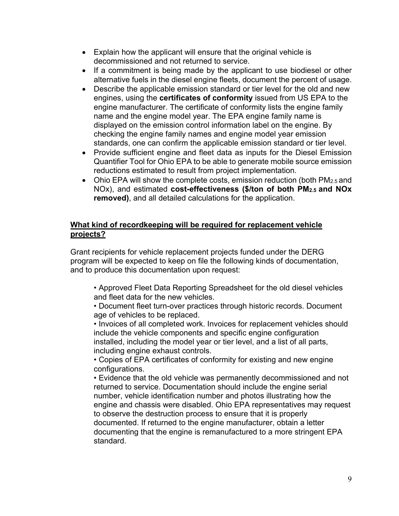- Explain how the applicant will ensure that the original vehicle is decommissioned and not returned to service.
- If a commitment is being made by the applicant to use biodiesel or other alternative fuels in the diesel engine fleets, document the percent of usage.
- Describe the applicable emission standard or tier level for the old and new engines, using the **certificates of conformity** issued from US EPA to the engine manufacturer. The certificate of conformity lists the engine family name and the engine model year. The EPA engine family name is displayed on the emission control information label on the engine. By checking the engine family names and engine model year emission standards, one can confirm the applicable emission standard or tier level.
- Provide sufficient engine and fleet data as inputs for the Diesel Emission Quantifier Tool for Ohio EPA to be able to generate mobile source emission reductions estimated to result from project implementation.
- Ohio EPA will show the complete costs, emission reduction (both PM<sub>2.5</sub> and NOx), and estimated **cost-effectiveness (\$/ton of both PM2.5 and NOx removed)**, and all detailed calculations for the application.

## **What kind of recordkeeping will be required for replacement vehicle projects?**

Grant recipients for vehicle replacement projects funded under the DERG program will be expected to keep on file the following kinds of documentation, and to produce this documentation upon request:

• Approved Fleet Data Reporting Spreadsheet for the old diesel vehicles and fleet data for the new vehicles.

• Document fleet turn-over practices through historic records. Document age of vehicles to be replaced.

• Invoices of all completed work. Invoices for replacement vehicles should include the vehicle components and specific engine configuration installed, including the model year or tier level, and a list of all parts, including engine exhaust controls.

• Copies of EPA certificates of conformity for existing and new engine configurations.

• Evidence that the old vehicle was permanently decommissioned and not returned to service. Documentation should include the engine serial number, vehicle identification number and photos illustrating how the engine and chassis were disabled. Ohio EPA representatives may request to observe the destruction process to ensure that it is properly documented. If returned to the engine manufacturer, obtain a letter documenting that the engine is remanufactured to a more stringent EPA standard.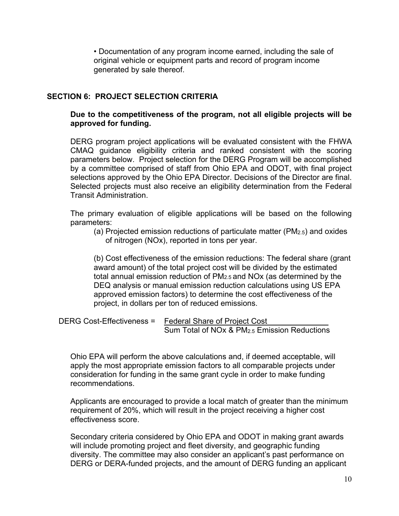• Documentation of any program income earned, including the sale of original vehicle or equipment parts and record of program income generated by sale thereof.

## **SECTION 6: PROJECT SELECTION CRITERIA**

#### **Due to the competitiveness of the program, not all eligible projects will be approved for funding.**

DERG program project applications will be evaluated consistent with the FHWA CMAQ guidance eligibility criteria and ranked consistent with the scoring parameters below. Project selection for the DERG Program will be accomplished by a committee comprised of staff from Ohio EPA and ODOT, with final project selections approved by the Ohio EPA Director. Decisions of the Director are final. Selected projects must also receive an eligibility determination from the Federal Transit Administration.

The primary evaluation of eligible applications will be based on the following parameters:

(a) Projected emission reductions of particulate matter (PM2.5) and oxides of nitrogen (NOx), reported in tons per year.

(b) Cost effectiveness of the emission reductions: The federal share (grant award amount) of the total project cost will be divided by the estimated total annual emission reduction of PM2.5 and NOx (as determined by the DEQ analysis or manual emission reduction calculations using US EPA approved emission factors) to determine the cost effectiveness of the project, in dollars per ton of reduced emissions.

DERG Cost-Effectiveness = Federal Share of Project Cost Sum Total of NOx & PM2.5 Emission Reductions

Ohio EPA will perform the above calculations and, if deemed acceptable, will apply the most appropriate emission factors to all comparable projects under consideration for funding in the same grant cycle in order to make funding recommendations.

Applicants are encouraged to provide a local match of greater than the minimum requirement of 20%, which will result in the project receiving a higher cost effectiveness score.

Secondary criteria considered by Ohio EPA and ODOT in making grant awards will include promoting project and fleet diversity, and geographic funding diversity. The committee may also consider an applicant's past performance on DERG or DERA-funded projects, and the amount of DERG funding an applicant